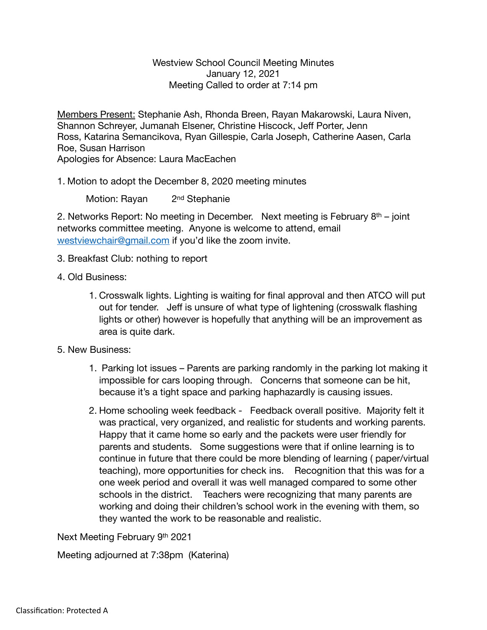## Westview School Council Meeting Minutes January 12, 2021 Meeting Called to order at 7:14 pm

Members Present: Stephanie Ash, Rhonda Breen, Rayan Makarowski, Laura Niven, Shannon Schreyer, Jumanah Elsener, Christine Hiscock, Jeff Porter, Jenn Ross, Katarina Semancikova, Ryan Gillespie, Carla Joseph, Catherine Aasen, Carla Roe, Susan Harrison Apologies for Absence: Laura MacEachen

1. Motion to adopt the December 8, 2020 meeting minutes

Motion: Rayan 2<sup>nd</sup> Stephanie

2. Networks Report: No meeting in December. Next meeting is February  $8<sup>th</sup>$  – joint networks committee meeting. Anyone is welcome to attend, email [westviewchair@gmail.com](mailto:westviewchair@gmail.com) if you'd like the zoom invite.

- 3. Breakfast Club: nothing to report
- 4. Old Business:
	- 1. Crosswalk lights. Lighting is waiting for final approval and then ATCO will put out for tender. Jeff is unsure of what type of lightening (crosswalk flashing lights or other) however is hopefully that anything will be an improvement as area is quite dark.
- 5. New Business:
	- 1. Parking lot issues Parents are parking randomly in the parking lot making it impossible for cars looping through. Concerns that someone can be hit, because it's a tight space and parking haphazardly is causing issues.
	- 2. Home schooling week feedback Feedback overall positive. Majority felt it was practical, very organized, and realistic for students and working parents. Happy that it came home so early and the packets were user friendly for parents and students. Some suggestions were that if online learning is to continue in future that there could be more blending of learning ( paper/virtual teaching), more opportunities for check ins. Recognition that this was for a one week period and overall it was well managed compared to some other schools in the district. Teachers were recognizing that many parents are working and doing their children's school work in the evening with them, so they wanted the work to be reasonable and realistic.

Next Meeting February 9th 2021

Meeting adjourned at 7:38pm (Katerina)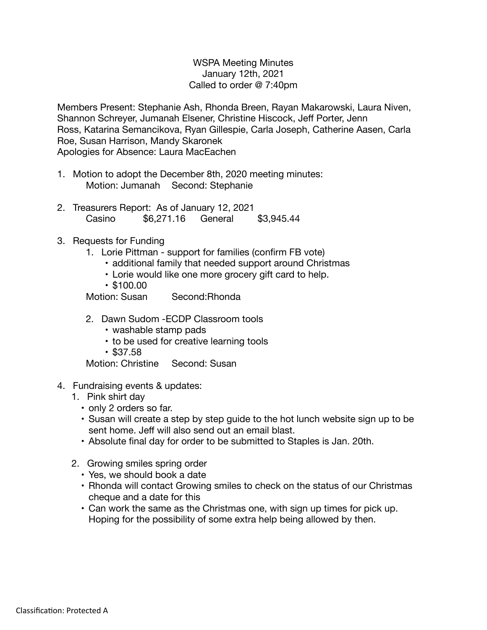## WSPA Meeting Minutes January 12th, 2021 Called to order @ 7:40pm

Members Present: Stephanie Ash, Rhonda Breen, Rayan Makarowski, Laura Niven, Shannon Schreyer, Jumanah Elsener, Christine Hiscock, Jeff Porter, Jenn Ross, Katarina Semancikova, Ryan Gillespie, Carla Joseph, Catherine Aasen, Carla Roe, Susan Harrison, Mandy Skaronek Apologies for Absence: Laura MacEachen

- 1. Motion to adopt the December 8th, 2020 meeting minutes: Motion: Jumanah Second: Stephanie
- 2. Treasurers Report: As of January 12, 2021 Casino \$6,271.16 General \$3,945.44
- 3. Requests for Funding
	- 1. Lorie Pittman support for families (confirm FB vote)
		- additional family that needed support around Christmas
		- Lorie would like one more grocery gift card to help.
		- \$100.00

Motion: Susan Second:Rhonda

- 2. Dawn Sudom -ECDP Classroom tools
	- washable stamp pads
	- to be used for creative learning tools
	- \$37.58

Motion: Christine Second: Susan

- 4. Fundraising events & updates:
	- 1. Pink shirt day
		- only 2 orders so far.
		- Susan will create a step by step guide to the hot lunch website sign up to be sent home. Jeff will also send out an email blast.
		- Absolute final day for order to be submitted to Staples is Jan. 20th.
	- 2. Growing smiles spring order
		- Yes, we should book a date
		- Rhonda will contact Growing smiles to check on the status of our Christmas cheque and a date for this
		- Can work the same as the Christmas one, with sign up times for pick up. Hoping for the possibility of some extra help being allowed by then.